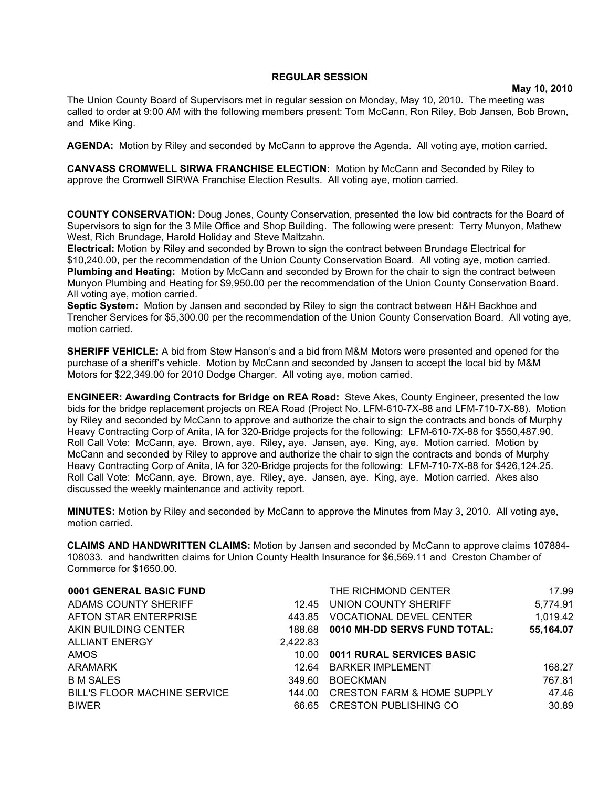## **REGULAR SESSION**

## **May 10, 2010**

The Union County Board of Supervisors met in regular session on Monday, May 10, 2010. The meeting was called to order at 9:00 AM with the following members present: Tom McCann, Ron Riley, Bob Jansen, Bob Brown, and Mike King.

**AGENDA:** Motion by Riley and seconded by McCann to approve the Agenda. All voting aye, motion carried.

**CANVASS CROMWELL SIRWA FRANCHISE ELECTION:** Motion by McCann and Seconded by Riley to approve the Cromwell SIRWA Franchise Election Results. All voting aye, motion carried.

**COUNTY CONSERVATION:** Doug Jones, County Conservation, presented the low bid contracts for the Board of Supervisors to sign for the 3 Mile Office and Shop Building. The following were present: Terry Munyon, Mathew West, Rich Brundage, Harold Holiday and Steve Maltzahn.

**Electrical:** Motion by Riley and seconded by Brown to sign the contract between Brundage Electrical for \$10,240.00, per the recommendation of the Union County Conservation Board. All voting aye, motion carried. **Plumbing and Heating:** Motion by McCann and seconded by Brown for the chair to sign the contract between Munyon Plumbing and Heating for \$9,950.00 per the recommendation of the Union County Conservation Board. All voting aye, motion carried.

**Septic System:** Motion by Jansen and seconded by Riley to sign the contract between H&H Backhoe and Trencher Services for \$5,300.00 per the recommendation of the Union County Conservation Board. All voting aye, motion carried.

**SHERIFF VEHICLE:** A bid from Stew Hanson's and a bid from M&M Motors were presented and opened for the purchase of a sheriff's vehicle. Motion by McCann and seconded by Jansen to accept the local bid by M&M Motors for \$22,349.00 for 2010 Dodge Charger. All voting aye, motion carried.

**ENGINEER: Awarding Contracts for Bridge on REA Road:** Steve Akes, County Engineer, presented the low bids for the bridge replacement projects on REA Road (Project No. LFM-610-7X-88 and LFM-710-7X-88). Motion by Riley and seconded by McCann to approve and authorize the chair to sign the contracts and bonds of Murphy Heavy Contracting Corp of Anita, IA for 320-Bridge projects for the following: LFM-610-7X-88 for \$550,487.90. Roll Call Vote: McCann, aye. Brown, aye. Riley, aye. Jansen, aye. King, aye. Motion carried. Motion by McCann and seconded by Riley to approve and authorize the chair to sign the contracts and bonds of Murphy Heavy Contracting Corp of Anita, IA for 320-Bridge projects for the following: LFM-710-7X-88 for \$426,124.25. Roll Call Vote: McCann, aye. Brown, aye. Riley, aye. Jansen, aye. King, aye. Motion carried. Akes also discussed the weekly maintenance and activity report.

**MINUTES:** Motion by Riley and seconded by McCann to approve the Minutes from May 3, 2010. All voting aye, motion carried.

**CLAIMS AND HANDWRITTEN CLAIMS:** Motion by Jansen and seconded by McCann to approve claims 107884- 108033. and handwritten claims for Union County Health Insurance for \$6,569.11 and Creston Chamber of Commerce for \$1650.00.

| 0001 GENERAL BASIC FUND      |          | THE RICHMOND CENTER                   | 17.99     |
|------------------------------|----------|---------------------------------------|-----------|
| ADAMS COUNTY SHERIFF         | 12.45    | UNION COUNTY SHERIFF                  | 5,774.91  |
| AFTON STAR ENTERPRISE        | 443.85   | <b>VOCATIONAL DEVEL CENTER</b>        | 1,019.42  |
| AKIN BUILDING CENTER         | 188.68   | 0010 MH-DD SERVS FUND TOTAL:          | 55,164.07 |
| <b>ALLIANT ENERGY</b>        | 2,422.83 |                                       |           |
| AMOS                         | 10.00    | 0011 RURAL SERVICES BASIC             |           |
| ARAMARK                      | 12.64    | <b>BARKER IMPLEMENT</b>               | 168.27    |
| <b>B M SALES</b>             | 349.60   | <b>BOECKMAN</b>                       | 767.81    |
| BILL'S FLOOR MACHINE SERVICE | 144.00   | <b>CRESTON FARM &amp; HOME SUPPLY</b> | 47.46     |
| <b>BIWER</b>                 | 66.65    | <b>CRESTON PUBLISHING CO</b>          | 30.89     |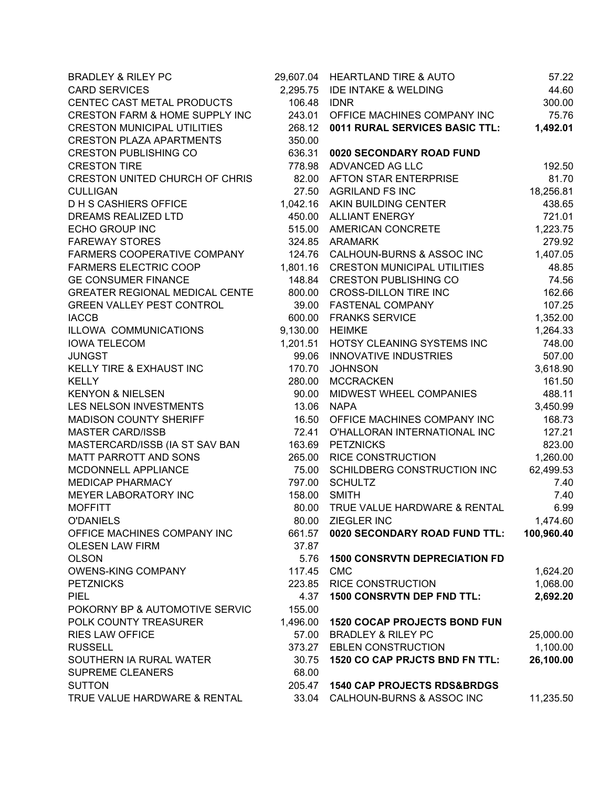| <b>BRADLEY &amp; RILEY PC</b>             |          | 29,607.04 HEARTLAND TIRE & AUTO        | 57.22      |
|-------------------------------------------|----------|----------------------------------------|------------|
| <b>CARD SERVICES</b>                      | 2,295.75 | <b>IDE INTAKE &amp; WELDING</b>        | 44.60      |
| CENTEC CAST METAL PRODUCTS                | 106.48   | <b>IDNR</b>                            | 300.00     |
| <b>CRESTON FARM &amp; HOME SUPPLY INC</b> | 243.01   | OFFICE MACHINES COMPANY INC            | 75.76      |
| <b>CRESTON MUNICIPAL UTILITIES</b>        | 268.12   | 0011 RURAL SERVICES BASIC TTL:         | 1,492.01   |
| <b>CRESTON PLAZA APARTMENTS</b>           | 350.00   |                                        |            |
| <b>CRESTON PUBLISHING CO</b>              | 636.31   | 0020 SECONDARY ROAD FUND               |            |
| <b>CRESTON TIRE</b>                       |          | 778.98 ADVANCED AG LLC                 | 192.50     |
| <b>CRESTON UNITED CHURCH OF CHRIS</b>     |          | 82.00 AFTON STAR ENTERPRISE            | 81.70      |
| <b>CULLIGAN</b>                           | 27.50    | <b>AGRILAND FS INC</b>                 | 18,256.81  |
| <b>DHS CASHIERS OFFICE</b>                |          | 1,042.16 AKIN BUILDING CENTER          | 438.65     |
| DREAMS REALIZED LTD                       |          | 450.00 ALLIANT ENERGY                  | 721.01     |
| ECHO GROUP INC                            |          | 515.00 AMERICAN CONCRETE               | 1,223.75   |
| <b>FAREWAY STORES</b>                     |          | 324.85 ARAMARK                         | 279.92     |
| FARMERS COOPERATIVE COMPANY               |          | 124.76 CALHOUN-BURNS & ASSOC INC       | 1,407.05   |
| <b>FARMERS ELECTRIC COOP</b>              |          | 1,801.16 CRESTON MUNICIPAL UTILITIES   | 48.85      |
| <b>GE CONSUMER FINANCE</b>                | 148.84   | <b>CRESTON PUBLISHING CO</b>           | 74.56      |
| <b>GREATER REGIONAL MEDICAL CENTE</b>     | 800.00   | <b>CROSS-DILLON TIRE INC</b>           | 162.66     |
| <b>GREEN VALLEY PEST CONTROL</b>          | 39.00    | <b>FASTENAL COMPANY</b>                | 107.25     |
| <b>IACCB</b>                              | 600.00   | <b>FRANKS SERVICE</b>                  | 1,352.00   |
| ILLOWA COMMUNICATIONS                     |          | 9,130.00 HEIMKE                        | 1,264.33   |
| <b>IOWA TELECOM</b>                       |          | 1,201.51 HOTSY CLEANING SYSTEMS INC    | 748.00     |
| <b>JUNGST</b>                             |          | 99.06 INNOVATIVE INDUSTRIES            | 507.00     |
| KELLY TIRE & EXHAUST INC                  | 170.70   | <b>JOHNSON</b>                         | 3,618.90   |
| <b>KELLY</b>                              | 280.00   | <b>MCCRACKEN</b>                       | 161.50     |
| <b>KENYON &amp; NIELSEN</b>               | 90.00    | MIDWEST WHEEL COMPANIES                | 488.11     |
| LES NELSON INVESTMENTS                    | 13.06    | <b>NAPA</b>                            | 3,450.99   |
| <b>MADISON COUNTY SHERIFF</b>             | 16.50    | OFFICE MACHINES COMPANY INC            | 168.73     |
| <b>MASTER CARD/ISSB</b>                   | 72.41    | O'HALLORAN INTERNATIONAL INC           | 127.21     |
| MASTERCARD/ISSB (IA ST SAV BAN            |          | 163.69 PETZNICKS                       | 823.00     |
| MATT PARROTT AND SONS                     |          | 265.00 RICE CONSTRUCTION               | 1,260.00   |
| MCDONNELL APPLIANCE                       | 75.00    | SCHILDBERG CONSTRUCTION INC            | 62,499.53  |
| <b>MEDICAP PHARMACY</b>                   |          | 797.00 SCHULTZ                         | 7.40       |
| MEYER LABORATORY INC                      | 158.00   | <b>SMITH</b>                           | 7.40       |
| <b>MOFFITT</b>                            | 80.00    | TRUE VALUE HARDWARE & RENTAL           | 6.99       |
| <b>O'DANIELS</b>                          | 80.00    | ZIEGLER INC                            | 1,474.60   |
| OFFICE MACHINES COMPANY INC               | 661.57   | 0020 SECONDARY ROAD FUND TTL:          | 100,960.40 |
| <b>OLESEN LAW FIRM</b>                    | 37.87    |                                        |            |
| <b>OLSON</b>                              | 5.76     | <b>1500 CONSRVTN DEPRECIATION FD</b>   |            |
| <b>OWENS-KING COMPANY</b>                 | 117.45   | <b>CMC</b>                             | 1,624.20   |
| <b>PETZNICKS</b>                          | 223.85   | <b>RICE CONSTRUCTION</b>               | 1,068.00   |
| <b>PIEL</b>                               | 4.37     | <b>1500 CONSRVTN DEP FND TTL:</b>      | 2,692.20   |
| POKORNY BP & AUTOMOTIVE SERVIC            | 155.00   |                                        |            |
| POLK COUNTY TREASURER                     | 1,496.00 | <b>1520 COCAP PROJECTS BOND FUN</b>    |            |
| <b>RIES LAW OFFICE</b>                    | 57.00    | <b>BRADLEY &amp; RILEY PC</b>          | 25,000.00  |
| <b>RUSSELL</b>                            |          | 373.27 EBLEN CONSTRUCTION              | 1,100.00   |
| SOUTHERN IA RURAL WATER                   | 30.75    | 1520 CO CAP PRJCTS BND FN TTL:         | 26,100.00  |
| <b>SUPREME CLEANERS</b>                   | 68.00    |                                        |            |
| <b>SUTTON</b>                             | 205.47   | <b>1540 CAP PROJECTS RDS&amp;BRDGS</b> |            |
| TRUE VALUE HARDWARE & RENTAL              | 33.04    | CALHOUN-BURNS & ASSOC INC              | 11,235.50  |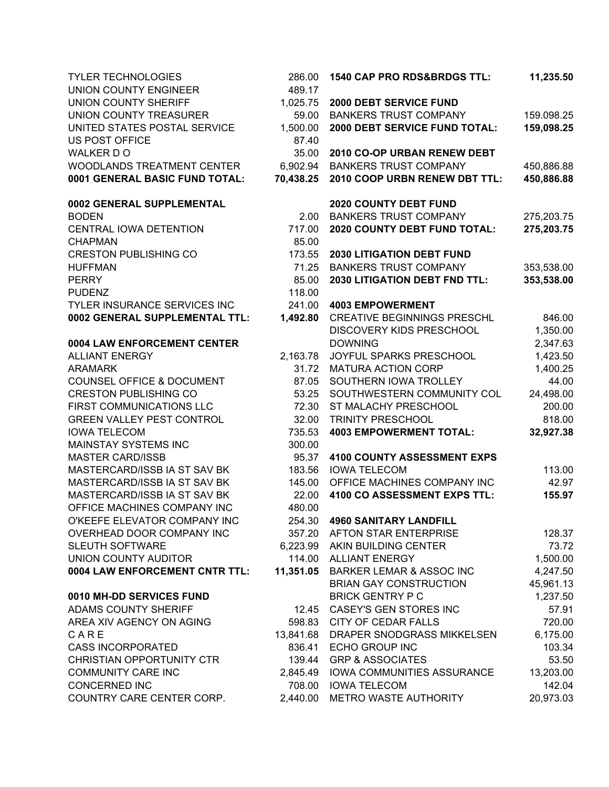| <b>TYLER TECHNOLOGIES</b><br><b>UNION COUNTY ENGINEER</b>      | 286.00<br>489.17 | 1540 CAP PRO RDS&BRDGS TTL:                                    | 11,235.50          |
|----------------------------------------------------------------|------------------|----------------------------------------------------------------|--------------------|
| <b>UNION COUNTY SHERIFF</b>                                    | 1,025.75         | 2000 DEBT SERVICE FUND                                         |                    |
| UNION COUNTY TREASURER                                         | 59.00            | <b>BANKERS TRUST COMPANY</b>                                   | 159.098.25         |
| UNITED STATES POSTAL SERVICE                                   | 1,500.00         | 2000 DEBT SERVICE FUND TOTAL:                                  | 159,098.25         |
| <b>US POST OFFICE</b>                                          | 87.40            |                                                                |                    |
| WALKER DO                                                      | 35.00            | 2010 CO-OP URBAN RENEW DEBT                                    |                    |
| WOODLANDS TREATMENT CENTER                                     | 6,902.94         | <b>BANKERS TRUST COMPANY</b>                                   | 450,886.88         |
| 0001 GENERAL BASIC FUND TOTAL:                                 | 70,438.25        | 2010 COOP URBN RENEW DBT TTL:                                  | 450,886.88         |
| 0002 GENERAL SUPPLEMENTAL                                      |                  | <b>2020 COUNTY DEBT FUND</b>                                   |                    |
| <b>BODEN</b>                                                   | 2.00             | <b>BANKERS TRUST COMPANY</b>                                   | 275,203.75         |
| CENTRAL IOWA DETENTION                                         | 717.00           | 2020 COUNTY DEBT FUND TOTAL:                                   | 275,203.75         |
| <b>CHAPMAN</b>                                                 | 85.00            |                                                                |                    |
| <b>CRESTON PUBLISHING CO</b>                                   | 173.55           | <b>2030 LITIGATION DEBT FUND</b>                               |                    |
| <b>HUFFMAN</b>                                                 | 71.25            | <b>BANKERS TRUST COMPANY</b>                                   | 353,538.00         |
| <b>PERRY</b>                                                   | 85.00            | <b>2030 LITIGATION DEBT FND TTL:</b>                           | 353,538.00         |
| <b>PUDENZ</b>                                                  | 118.00           |                                                                |                    |
| TYLER INSURANCE SERVICES INC<br>0002 GENERAL SUPPLEMENTAL TTL: |                  | 241.00  4003 EMPOWERMENT<br><b>CREATIVE BEGINNINGS PRESCHL</b> |                    |
|                                                                | 1,492.80         | <b>DISCOVERY KIDS PRESCHOOL</b>                                | 846.00<br>1,350.00 |
| 0004 LAW ENFORCEMENT CENTER                                    |                  | <b>DOWNING</b>                                                 | 2,347.63           |
| <b>ALLIANT ENERGY</b>                                          | 2,163.78         | JOYFUL SPARKS PRESCHOOL                                        | 1,423.50           |
| <b>ARAMARK</b>                                                 | 31.72            | <b>MATURA ACTION CORP</b>                                      | 1,400.25           |
| COUNSEL OFFICE & DOCUMENT                                      | 87.05            | SOUTHERN IOWA TROLLEY                                          | 44.00              |
| <b>CRESTON PUBLISHING CO</b>                                   | 53.25            | SOUTHWESTERN COMMUNITY COL                                     | 24,498.00          |
| FIRST COMMUNICATIONS LLC                                       | 72.30            | ST MALACHY PRESCHOOL                                           | 200.00             |
| <b>GREEN VALLEY PEST CONTROL</b>                               | 32.00            | <b>TRINITY PRESCHOOL</b>                                       | 818.00             |
| <b>IOWA TELECOM</b>                                            | 735.53           | <b>4003 EMPOWERMENT TOTAL:</b>                                 | 32,927.38          |
| <b>MAINSTAY SYSTEMS INC</b>                                    | 300.00           |                                                                |                    |
| <b>MASTER CARD/ISSB</b>                                        | 95.37            | <b>4100 COUNTY ASSESSMENT EXPS</b>                             |                    |
| MASTERCARD/ISSB IA ST SAV BK                                   | 183.56           | <b>IOWA TELECOM</b>                                            | 113.00             |
| MASTERCARD/ISSB IA ST SAV BK                                   | 145.00           | OFFICE MACHINES COMPANY INC                                    | 42.97              |
| MASTERCARD/ISSB IA ST SAV BK                                   | 22.00            | 4100 CO ASSESSMENT EXPS TTL:                                   | 155.97             |
| OFFICE MACHINES COMPANY INC                                    | 480.00           |                                                                |                    |
| O'KEEFE ELEVATOR COMPANY INC                                   | 254.30           | <b>4960 SANITARY LANDFILL</b>                                  |                    |
| OVERHEAD DOOR COMPANY INC                                      |                  | 357.20 AFTON STAR ENTERPRISE                                   | 128.37             |
| SLEUTH SOFTWARE                                                |                  | 6,223.99 AKIN BUILDING CENTER                                  | 73.72              |
| UNION COUNTY AUDITOR                                           |                  | 114.00 ALLIANT ENERGY                                          | 1,500.00           |
| 0004 LAW ENFORCEMENT CNTR TTL:                                 | 11,351.05        | <b>BARKER LEMAR &amp; ASSOC INC</b>                            | 4,247.50           |
|                                                                |                  | <b>BRIAN GAY CONSTRUCTION</b>                                  | 45,961.13          |
| 0010 MH-DD SERVICES FUND                                       |                  | <b>BRICK GENTRY P C</b>                                        | 1,237.50           |
| ADAMS COUNTY SHERIFF                                           | 12.45            | CASEY'S GEN STORES INC                                         | 57.91              |
| AREA XIV AGENCY ON AGING                                       |                  | 598.83 CITY OF CEDAR FALLS                                     | 720.00             |
| CARE                                                           |                  | 13,841.68 DRAPER SNODGRASS MIKKELSEN                           | 6,175.00           |
| <b>CASS INCORPORATED</b>                                       | 836.41           | ECHO GROUP INC                                                 | 103.34             |
| <b>CHRISTIAN OPPORTUNITY CTR</b>                               | 139.44           | <b>GRP &amp; ASSOCIATES</b>                                    | 53.50              |
| <b>COMMUNITY CARE INC</b>                                      | 2,845.49         | <b>IOWA COMMUNITIES ASSURANCE</b>                              | 13,203.00          |
| <b>CONCERNED INC</b>                                           | 708.00           | <b>IOWA TELECOM</b>                                            | 142.04             |
| COUNTRY CARE CENTER CORP.                                      | 2,440.00         | <b>METRO WASTE AUTHORITY</b>                                   | 20,973.03          |